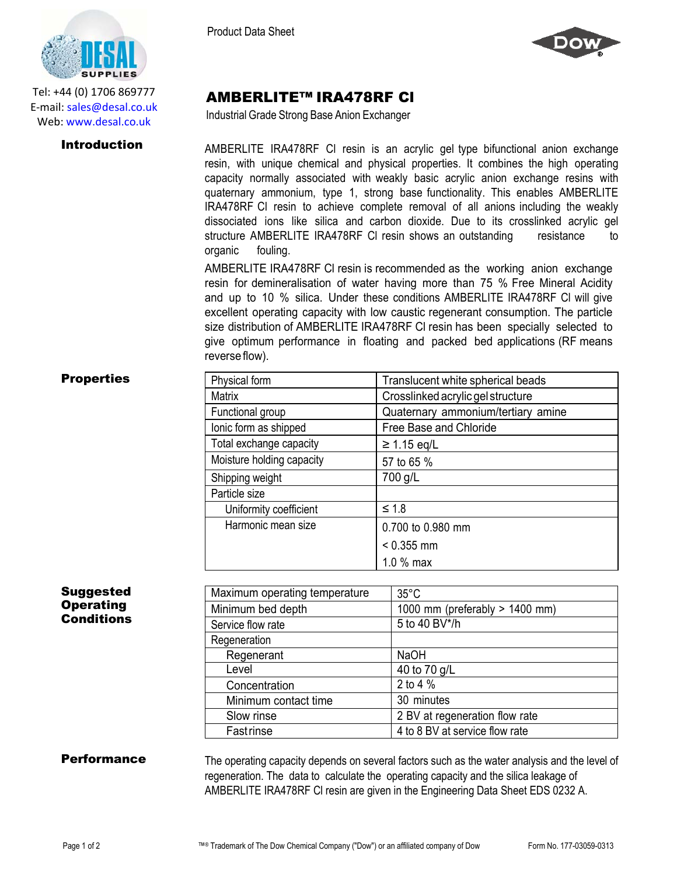

Tel: +44 (0) 1706 869777 E‐mail: sales@desal.co.uk Web: www.desal.co.uk

Product Data Sheet



# AMBERLITE™ IRA478RF Cl

Industrial Grade Strong Base Anion Exchanger

**Introduction** AMBERLITE IRA478RF CI resin is an acrylic gel type bifunctional anion exchange resin, with unique chemical and physical properties. It combines the high operating capacity normally associated with weakly basic acrylic anion exchange resins with quaternary ammonium, type 1, strong base functionality. This enables AMBERLITE IRA478RF Cl resin to achieve complete removal of all anions including the weakly dissociated ions like silica and carbon dioxide. Due to its crosslinked acrylic gel structure AMBERLITE IRA478RF CI resin shows an outstanding resistance to organic fouling.

> AMBERLITE IRA478RF Cl resin is recommended as the working anion exchange resin for demineralisation of water having more than 75 % Free Mineral Acidity and up to 10 % silica. Under these conditions AMBERLITE IRA478RF Cl will give excellent operating capacity with low caustic regenerant consumption. The particle size distribution of AMBERLITE IRA478RF Cl resin has been specially selected to give optimum performance in floating and packed bed applications (RF means reverse flow).

### **Properties**

| Physical form             | Translucent white spherical beads  |
|---------------------------|------------------------------------|
| <b>Matrix</b>             | Crosslinked acrylic gel structure  |
| Functional group          | Quaternary ammonium/tertiary amine |
| lonic form as shipped     | Free Base and Chloride             |
| Total exchange capacity   | $\geq$ 1.15 eq/L                   |
| Moisture holding capacity | 57 to 65 %                         |
| Shipping weight           | 700 g/L                            |
| Particle size             |                                    |
| Uniformity coefficient    | $\leq 1.8$                         |
| Harmonic mean size        | 0.700 to 0.980 mm                  |
|                           | $< 0.355$ mm                       |
|                           | 1.0 % max                          |

## Suggested **Operating Conditions**

| Maximum operating temperature | $35^{\circ}$ C                 |
|-------------------------------|--------------------------------|
| Minimum bed depth             | 1000 mm (preferably > 1400 mm) |
| Service flow rate             | 5 to 40 BV*/h                  |
| Regeneration                  |                                |
| Regenerant                    | <b>NaOH</b>                    |
| Level                         | 40 to 70 g/L                   |
| Concentration                 | 2 to 4 %                       |
| Minimum contact time          | 30 minutes                     |
| Slow rinse                    | 2 BV at regeneration flow rate |
| Fastrinse                     | 4 to 8 BV at service flow rate |

**Performance** The operating capacity depends on several factors such as the water analysis and the level of regeneration. The data to calculate the operating capacity and the silica leakage of AMBERLITE IRA478RF Cl resin are given in the Engineering Data Sheet EDS 0232 A.